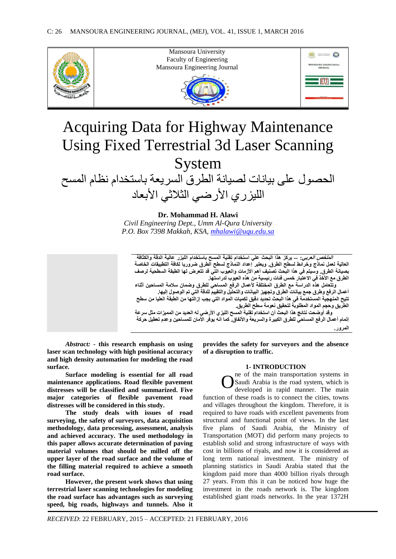

# Acquiring Data for Highway Maintenance Using Fixed Terrestrial 3d Laser Scanning System

الحصول على بيانات لصيانة الطرق السريعة باستخدام نظام المسح الليزري الأرضى الثلاثى الأبعاد

**Dr. Mohammad H. Alawi**

*Civil Engineering Dept., Umm Al-Qura University P.O. Box 7398 Makkah, KSA, [mhalawi@uqu.edu.sa](mailto:mhalawi@uqu.edu.sa)*

ا*لعلخص العربي*: -- يركز هذا البحث علي استخدام تقنية المسح بـاستخدام الليزر عالية الدقة والكثافة العالية لعمل نماذج وخرائط لسطح الطرق. ويعتبر إعداد النماذج لسطح الطرق ضروريا لكافة التطبيقات الخاصة بصيبَنة الطّرق. وسيتم فّي هذا البحث تصنيفُ أهمّ الأزمات والعيوب التّي قد تتعرض لّها الطبقة السطحية لرصف الطرق مع الأخذ في الاعتبار خمس فئات رئيسية من هذه العيوب لدراستها.

وت**تعامل هذه الدراسة مع الطرق المختلفة لأعمال الرفع المساحي للطرق وضمان سلامة المساحين أثناء** أعمال الرفع وطرق جمع بيانات الطرق وتجهيز البيانات والتحليل والتقييم للدقة التي تم الوصول إليها. تتيح المنهجية المستخدمة في هذا البحث تحديد دقيق لكميات المواد التي يجب إزالتّها من الطبقة العليا من سطح

ا**نطريق وحج**م المواد المطلوبة لتحقيق نعومة سطح الطريق. وقّد أوضحت نتائج هذا البحث أن استخدام تقنية المسح الليزي الأرض*ي* له العديد من المميزات مثل سرعة إتمام أعمال الرفع المساحي للطرق الكبيرة والسريعة والأنفاق. كما الله يوفّر الأمان للمساحين و عدم تعطيل حركة ا**لمر**ور.

*Abstract: -* **this research emphasis on using laser scan technology with high positional accuracy and high density automation for modeling the road surface.**

**Surface modeling is essential for all road maintenance applications. Road flexible pavement distresses will be classified and summarized. Five major categories of flexible pavement road distresses will be considered in this study.**

**The study deals with issues of road surveying, the safety of surveyors, data acquisition methodology, data processing, assessment, analysis and achieved accuracy. The used methodology in this paper allows accurate determination of paving material volumes that should be milled off the upper layer of the road surface and the volume of the filling material required to achieve a smooth road surface.** 

**However, the present work shows that using terrestrial laser scanning technologies for modeling the road surface has advantages such as surveying speed, big roads, highways and tunnels. Also it** 

**provides the safety for surveyors and the absence of a disruption to traffic.**

# **1- INTRODUCTION**

ne of the main transportation systems in Saudi Arabia is the road system, which is developed in rapid manner. The main function of these roads is to connect the cities, towns and villages throughout the kingdom. Therefore, it is required to have roads with excellent pavements from structural and functional point of views. In the last five plans of Saudi Arabia, the Ministry of Transportation (MOT) did perform many projects to establish solid and strong infrastructure of ways with cost in billions of riyals, and now it is considered as long term national investment. The ministry of planning statistics in Saudi Arabia stated that the kingdom paid more than 4000 billion riyals through 27 years. From this it can be noticed how huge the investment in the roads network is. The kingdom established giant roads networks. In the year 1372H O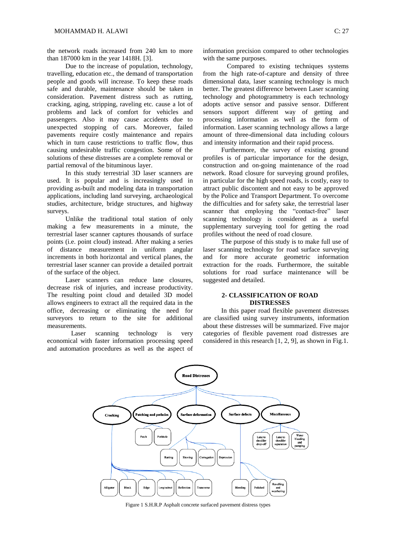the network roads increased from 240 km to more than 187000 km in the year 1418H. [3].

Due to the increase of population, technology, travelling, education etc., the demand of transportation people and goods will increase. To keep these roads safe and durable, maintenance should be taken in consideration. Pavement distress such as rutting, cracking, aging, stripping, raveling etc. cause a lot of problems and lack of comfort for vehicles and passengers. Also it may cause accidents due to unexpected stopping of cars. Moreover, failed pavements require costly maintenance and repairs which in turn cause restrictions to traffic flow, thus causing undesirable traffic congestion. Some of the solutions of these distresses are a complete removal or partial removal of the bituminous layer.

In this study terrestrial 3D laser scanners are used. It is popular and is increasingly used in providing as-built and modeling data in transportation applications, including land surveying, archaeological studies, architecture, bridge structures, and highway surveys.

Unlike the traditional total station of only making a few measurements in a minute, the terrestrial laser scanner captures thousands of surface points (i.e. point cloud) instead. After making a series of distance measurement in uniform angular increments in both horizontal and vertical planes, the terrestrial laser scanner can provide a detailed portrait of the surface of the object.

Laser scanners can reduce lane closures, decrease risk of injuries, and increase productivity. The resulting point cloud and detailed 3D model allows engineers to extract all the required data in the office, decreasing or eliminating the need for surveyors to return to the site for additional measurements.

Laser scanning technology is very economical with faster information processing speed and automation procedures as well as the aspect of information precision compared to other technologies with the same purposes.

Compared to existing techniques systems from the high rate-of-capture and density of three dimensional data, laser scanning technology is much better. The greatest difference between Laser scanning technology and photogrammetry is each technology adopts active sensor and passive sensor. Different sensors support different way of getting and processing information as well as the form of information. Laser scanning technology allows a large amount of three-dimensional data including colours and intensity information and their rapid process.

Furthermore, the survey of existing ground profiles is of particular importance for the design, construction and on-going maintenance of the road network. Road closure for surveying ground profiles, in particular for the high speed roads, is costly, easy to attract public discontent and not easy to be approved by the Police and Transport Department. To overcome the difficulties and for safety sake, the terrestrial laser scanner that employing the "contact-free" laser scanning technology is considered as a useful supplementary surveying tool for getting the road profiles without the need of road closure.

The purpose of this study is to make full use of laser scanning technology for road surface surveying and for more accurate geometric information extraction for the roads. Furthermore, the suitable solutions for road surface maintenance will be suggested and detailed.

# **2- CLASSIFICATION OF ROAD DISTRESSES**

In this paper road flexible pavement distresses are classified using survey instruments, information about these distresses will be summarized. Five major categories of flexible pavement road distresses are considered in this research [1, 2, 9], as shown in Fig.1.



Figure 1 S.H.R.P Asphalt concrete surfaced pavement distress types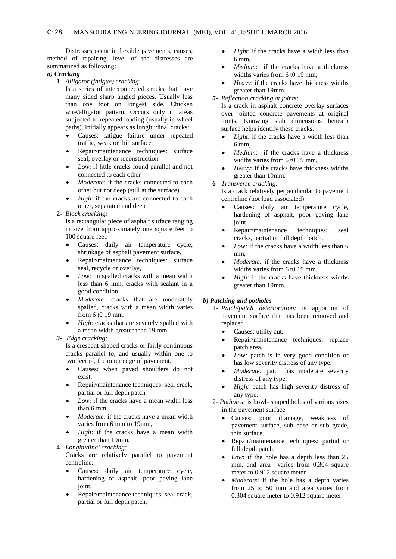Distresses occur in flexible pavements, causes, method of repairing, level of the distresses are summarized as following:

### *a) Cracking*

**1-** *Alligator (fatigue) cracking*:

Is a series of interconnected cracks that have many sided sharp angled pieces. Usually less than one foot on longest side. Chicken wire/alligator pattern. Occurs only in areas subjected to repeated loading (usually in wheel paths). Initially appears as longitudinal cracks:

- Causes: fatigue failure under repeated traffic, weak or thin surface
- Repair/maintenance techniques: surface seal, overlay or reconstruction
- *Low*: if little cracks found parallel and not connected to each other
- *Moderate*: if the cracks connected to each other but not deep (still at the surface)
- *High*: if the cracks are connected to each other, separated and deep
- **2-** *Block cracking:*

Is a rectangular piece of asphalt surface ranging in size from approximately one square feet to 100 square feet:

- Causes: daily air temperature cycle, shrinkage of asphalt pavement surface,
- Repair/maintenance techniques: surface seal, recycle or overlay,
- *Low*: un spalled cracks with a mean width less than 6 mm, cracks with sealant in a good condition
- *Moderate*: cracks that are moderately spalled, cracks with a mean width varies from 6 t0 19 mm.
- *High*: cracks that are severely spalled with a mean width greater than 19 mm.

*3- Edge cracking:*

Is a crescent shaped cracks or fairly continuous cracks parallel to, and usually within one to two feet of, the outer edge of pavement.

- Causes: when paved shoulders do not exist.
- Repair/maintenance techniques: seal crack, partial or full depth patch
- *Low*: if the cracks have a mean width less than 6 mm,
- *Moderate*: if the cracks have a mean width varies from 6 mm to 19mm,
- *High*: if the cracks have a mean width greater than 19mm.
- **4-** *Longitudinal cracking:*

Cracks are relatively parallel to pavement centreline:

- Causes: daily air temperature cycle, hardening of asphalt, poor paving lane joint,
- Repair/maintenance techniques: seal crack, partial or full depth patch,
- *Light*: if the cracks have a width less than 6 mm,
- *Medium*: if the cracks have a thickness widths varies from 6 t0 19 mm,
- *Heavy*: if the cracks have thickness widths greater than 19mm.
- *5- Reflection cracking at joints:*
	- Is a crack in asphalt concrete overlay surfaces over jointed concrete pavements at original joints. Knowing slab dimensions beneath surface helps identify these cracks.
	- *Light*: if the cracks have a width less than  $6 \text{ mm}$
	- *Medium*: if the cracks have a thickness widths varies from 6 t0 19 mm,
	- *Heavy*: if the cracks have thickness widths greater than 19mm.
- **6-** *Transverse cracking:*

Is a crack relatively perpendicular to pavement centreline (not load associated).

- Causes: daily air temperature cycle, hardening of asphalt, poor paving lane joint,
- Repair/maintenance techniques: seal cracks, partial or full depth batch,
- *Low:* if the cracks have a width less than 6 mm,
- *Moderate:* if the cracks have a thickness widths varies from 6 t0 19 mm,
- *High:* if the cracks have thickness widths greater than 19mm.

# *b) Patching and potholes*

- 1- *Patch/patch deterioration:* is apportion of pavement surface that has been removed and replaced
	- Causes: utility cut.
	- Repair/maintenance techniques: replace patch area.
	- *Low:* patch is in very good condition or has low severity distress of any type.
	- *Moderate:* patch has moderate severity distress of any type.
	- *High:* patch has high severity distress of any type.
- 2- *Potholes:* is bowl- shaped holes of various sizes in the pavement surface.
	- Causes: poor drainage, weakness of pavement surface, sub base or sub grade, thin surface.
	- Repair/maintenance techniques: partial or full depth patch.
	- *Low*: if the hole has a depth less than 25 mm, and area varies from 0.304 square meter to 0.912 square meter
	- *Moderate*: if the hole has a depth varies from 25 to 50 mm and area varies from 0.304 square meter to 0.912 square meter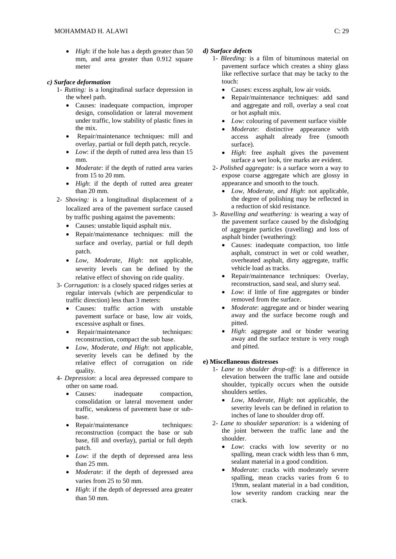• *High*: if the hole has a depth greater than 50 mm, and area greater than 0.912 square meter

# *c) Surface deformation*

- 1- *Rutting:* is a longitudinal surface depression in the wheel path.
	- Causes: inadequate compaction, improper design, consolidation or lateral movement under traffic, low stability of plastic fines in the mix.
	- Repair/maintenance techniques: mill and overlay, partial or full depth patch, recycle.
	- *Low*: if the depth of rutted area less than 15 mm.
	- *Moderate*: if the depth of rutted area varies from 15 to 20 mm.
	- *High*: if the depth of rutted area greater than 20 mm.
- 2- *Shoving:* is a longitudinal displacement of a localized area of the pavement surface caused by traffic pushing against the pavements:
	- Causes: unstable liquid asphalt mix.
	- Repair/maintenance techniques: mill the surface and overlay, partial or full depth patch.
	- *Low*, *Moderate*, *High*: not applicable, severity levels can be defined by the relative effect of shoving on ride quality.
- 3- *Corrugation:* is a closely spaced ridges series at regular intervals (which are perpendicular to traffic direction) less than 3 meters:
	- Causes: traffic action with unstable pavement surface or base, low air voids, excessive asphalt or fines.
	- Repair/maintenance techniques: reconstruction, compact the sub base.
	- *Low*, *Moderate*, *and High*: not applicable, severity levels can be defined by the relative effect of corrugation on ride quality.
- 4*- Depression*: a local area depressed compare to other on same road.
	- Causes*:* inadequate compaction, consolidation or lateral movement under traffic, weakness of pavement base or subbase.
	- Repair/maintenance techniques: reconstruction (compact the base or sub base, fill and overlay), partial or full depth patch.
	- *Low*: if the depth of depressed area less than 25 mm.
	- *Moderate*: if the depth of depressed area varies from 25 to 50 mm.
	- *High*: if the depth of depressed area greater than 50 mm.

# *d) Surface defects*

- 1- *Bleeding:* is a film of bituminous material on pavement surface which creates a shiny glass like reflective surface that may be tacky to the touch:
	- Causes: excess asphalt, low air voids.
	- Repair/maintenance techniques: add sand and aggregate and roll, overlay a seal coat or hot asphalt mix.
	- *Low*: colouring of pavement surface visible
	- *Moderate*: distinctive appearance with access asphalt already free (smooth surface).
	- *High*: free asphalt gives the pavement surface a wet look, tire marks are evident.
- 2- *Polished aggregate:* is a surface worn a way to expose coarse aggregate which are glossy in appearance and smooth to the touch.
	- *Low*, *Moderate*, *and High*: not applicable, the degree of polishing may be reflected in a reduction of skid resistance.
- 3- *Ravelling and weathering:* is wearing a way of the pavement surface caused by the dislodging of aggregate particles (ravelling) and loss of asphalt binder (weathering):
	- Causes: inadequate compaction, too little asphalt, construct in wet or cold weather, overheated asphalt, dirty aggregate, traffic vehicle load as tracks.
	- Repair/maintenance techniques: Overlay, reconstruction, sand seal, and slurry seal.
	- Low: if little of fine aggregates or binder removed from the surface.
	- *Moderate*: aggregate and or binder wearing away and the surface become rough and pitted.
	- *High*: aggregate and or binder wearing away and the surface texture is very rough and pitted.

# **e) Miscellaneous distresses**

- 1- *Lane to shoulder drop-off:* is a difference in elevation between the traffic lane and outside shoulder, typically occurs when the outside shoulders settles.
	- *Low*, *Moderate*, *High*: not applicable, the severity levels can be defined in relation to inches of lane to shoulder drop off.
- 2- *Lane to shoulder separation:* is a widening of the joint between the traffic lane and the shoulder.
	- *Low*: cracks with low severity or no spalling, mean crack width less than 6 mm, sealant material in a good condition.
	- *Moderate*: cracks with moderately severe spalling, mean cracks varies from 6 to 19mm, sealant material in a bad condition, low severity random cracking near the crack.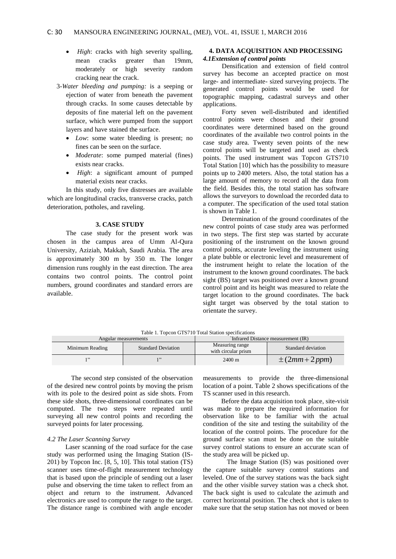- *High*: cracks with high severity spalling, mean cracks greater than 19mm, moderately or high severity random cracking near the crack.
- 3-*Water bleeding and pumping:* is a seeping or ejection of water from beneath the pavement through cracks. In some causes detectable by deposits of fine material left on the pavement surface, which were pumped from the support layers and have stained the surface.
	- *Low*: some water bleeding is present; no fines can be seen on the surface.
	- *Moderate*: some pumped material (fines) exists near cracks.
	- *High*: a significant amount of pumped material exists near cracks.

In this study, only five distresses are available which are longitudinal cracks, transverse cracks, patch deterioration, potholes, and raveling.

#### **3. CASE STUDY**

The case study for the present work was chosen in the campus area of Umm Al-Qura University, Aziziah, Makkah, Saudi Arabia. The area is approximately 300 m by 350 m. The longer dimension runs roughly in the east direction. The area contains two control points. The control point numbers, ground coordinates and standard errors are available.

# **4. DATA ACQUISITION AND PROCESSING** *4.1Extension of control points*

Densification and extension of field control survey has become an accepted practice on most large- and intermediate- sized surveying projects. The generated control points would be used for topographic mapping, cadastral surveys and other applications.

Forty seven well-distributed and identified control points were chosen and their ground coordinates were determined based on the ground coordinates of the available two control points in the case study area. Twenty seven points of the new control points will be targeted and used as check points. The used instrument was Topcon GTS710 Total Station [10] which has the possibility to measure points up to 2400 meters. Also, the total station has a large amount of memory to record all the data from the field. Besides this, the total station has software allows the surveyors to download the recorded data to a computer. The specification of the used total station is shown in Table 1.

Determination of the ground coordinates of the new control points of case study area was performed in two steps. The first step was started by accurate positioning of the instrument on the known ground control points, accurate leveling the instrument using a plate bubble or electronic level and measurement of the instrument height to relate the location of the instrument to the known ground coordinates. The back sight (BS) target was positioned over a known ground control point and its height was measured to relate the target location to the ground coordinates. The back sight target was observed by the total station to orientate the survey.

| Angular measurements |                           | `Infrared Distance measurement (IR)    |                    |
|----------------------|---------------------------|----------------------------------------|--------------------|
| Minimum Reading      | <b>Standard Deviation</b> | Measuring range<br>with circular prism | Standard deviation |
|                      |                           | $2400 \text{ m}$                       | $\pm (2mm+2ppm)$   |

Table 1. Topcon GTS710 Total Station specifications

The second step consisted of the observation of the desired new control points by moving the prism with its pole to the desired point as side shots. From these side shots, three-dimensional coordinates can be computed. The two steps were repeated until surveying all new control points and recording the surveyed points for later processing.

### *4.2 The Laser Scanning Survey*

Laser scanning of the road surface for the case study was performed using the Imaging Station (IS-201) by Topcon Inc. [8, 5, 10]. This total station (TS) scanner uses time-of-flight measurement technology that is based upon the principle of sending out a laser pulse and observing the time taken to reflect from an object and return to the instrument. Advanced electronics are used to compute the range to the target. The distance range is combined with angle encoder measurements to provide the three-dimensional location of a point. Table 2 shows specifications of the TS scanner used in this research.

Before the data acquisition took place, site-visit was made to prepare the required information for observation like to be familiar with the actual condition of the site and testing the suitability of the location of the control points. The procedure for the ground surface scan must be done on the suitable survey control stations to ensure an accurate scan of the study area will be picked up.

The Image Station (IS) was positioned over the capture suitable survey control stations and leveled. One of the survey stations was the back sight and the other visible survey station was a check shot. The back sight is used to calculate the azimuth and correct horizontal position. The check shot is taken to make sure that the setup station has not moved or been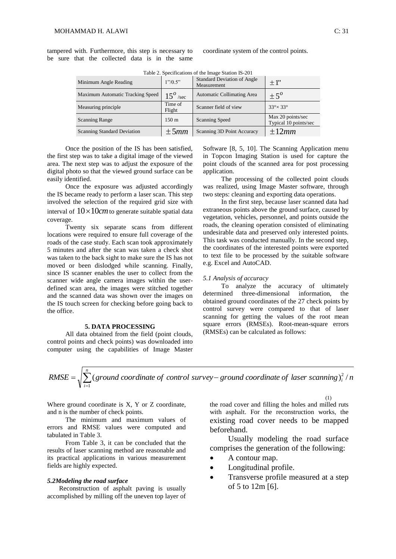tampered with. Furthermore, this step is necessary to be sure that the collected data is in the same

coordinate system of the control points.

| $\frac{1}{2}$ and $\frac{1}{2}$ by $\frac{1}{2}$ by $\frac{1}{2}$ by $\frac{1}{2}$ by $\frac{1}{2}$ by $\frac{1}{2}$ by $\frac{1}{2}$ by $\frac{1}{2}$ |                           |                                                   |                                            |  |  |  |
|--------------------------------------------------------------------------------------------------------------------------------------------------------|---------------------------|---------------------------------------------------|--------------------------------------------|--|--|--|
| Minimum Angle Reading                                                                                                                                  | $1\degree$ /0.5 $\degree$ | <b>Standard Deviation of Angle</b><br>Measurement | $+1"$                                      |  |  |  |
| Maximum Automatic Tracking Speed                                                                                                                       | $15^{\circ}$ /sec         | <b>Automatic Collimating Area</b>                 | $\pm$ 5 <sup>o</sup>                       |  |  |  |
| Measuring principle                                                                                                                                    | Time of<br>Flight         | Scanner field of view                             | $33^{\circ} \times 33^{\circ}$             |  |  |  |
| <b>Scanning Range</b>                                                                                                                                  | 150 <sub>m</sub>          | <b>Scanning Speed</b>                             | Max 20 points/sec<br>Typical 10 points/sec |  |  |  |
| <b>Scanning Standard Deviation</b>                                                                                                                     | $\pm 5mm$                 | Scanning 3D Point Accuracy                        | $\pm 12mm$                                 |  |  |  |

Table 2. Specifications of the Image Station IS-201

Once the position of the IS has been satisfied, the first step was to take a digital image of the viewed area. The next step was to adjust the exposure of the digital photo so that the viewed ground surface can be easily identified.

Once the exposure was adjusted accordingly the IS became ready to perform a laser scan. This step involved the selection of the required grid size with interval of  $10\times10$ *cm* to generate suitable spatial data coverage.

Twenty six separate scans from different locations were required to ensure full coverage of the roads of the case study. Each scan took approximately 5 minutes and after the scan was taken a check shot was taken to the back sight to make sure the IS has not moved or been dislodged while scanning. Finally, since IS scanner enables the user to collect from the scanner wide angle camera images within the userdefined scan area, the images were stitched together and the scanned data was shown over the images on the IS touch screen for checking before going back to the office.

### **5. DATA PROCESSING**

All data obtained from the field (point clouds, control points and check points) was downloaded into computer using the capabilities of Image Master Software [8, 5, 10]. The Scanning Application menu in Topcon Imaging Station is used for capture the point clouds of the scanned area for post processing application.

The processing of the collected point clouds was realized, using Image Master software, through two steps: cleaning and exporting data operations.

In the first step, because laser scanned data had extraneous points above the ground surface, caused by vegetation, vehicles, personnel, and points outside the roads, the cleaning operation consisted of eliminating undesirable data and preserved only interested points. This task was conducted manually. In the second step, the coordinates of the interested points were exported to text file to be processed by the suitable software e.g. Excel and AutoCAD.

#### *5.1 Analysis of accuracy*

To analyze the accuracy of ultimately determined three-dimensional information, the obtained ground coordinates of the 27 check points by control survey were compared to that of laser scanning for getting the values of the root mean square errors (RMSEs). Root-mean-square errors (RMSEs) can be calculated as follows:

#### $RMSE = \sqrt{\sum_{i=1}^{n} (ground\ coordinate\ of\ control\ survey - ground\ coordinate\ of\ laser\ scanning)^2_i / n}$ *i* (ground coordinate of control survey–ground coordinate of laser scanning) $_i^2$ /  $=\sqrt{\sum_{i=1}^{n}(ground\ coordinate\ of\ control\ survey-ground\ coordinate\ of\ laser\ scanning)}$

Where ground coordinate is X, Y or Z coordinate, and n is the number of check points.

The minimum and maximum values of errors and RMSE values were computed and tabulated in Table 3.

From Table 3, it can be concluded that the results of laser scanning method are reasonable and its practical applications in various measurement fields are highly expected.

#### *5.2Modeling the road surface*

Reconstruction of asphalt paving is usually accomplished by milling off the uneven top layer of

 (1) the road cover and filling the holes and milled ruts with asphalt. For the reconstruction works, the existing road cover needs to be mapped beforehand.

> Usually modeling the road surface comprises the generation of the following:

- A contour map.
- Longitudinal profile.
- Transverse profile measured at a step of 5 to 12m [6].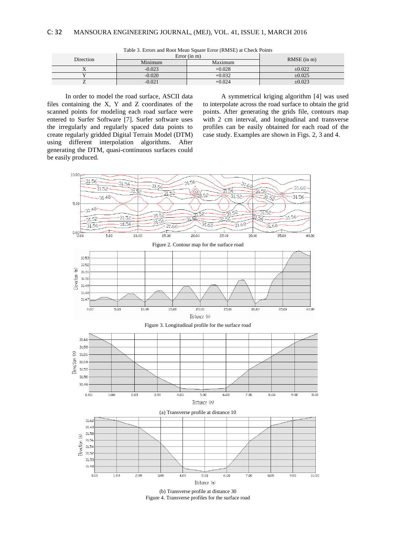| Direction | Error $(in m)$ |          | $RMSE$ (in m) |
|-----------|----------------|----------|---------------|
|           | Minimum        | Maximum  |               |
|           | $-0.023$       | $+0.028$ | ±0.022        |
|           | $-0.020$       | $+0.032$ | ±0.025        |
|           | $-0.021$       | $+0.024$ | $\pm 0.023$   |

Table 3. Errors and Root Mean Square Error (RMSE) at Check Points

In order to model the road surface, ASCII data files containing the X, Y and Z coordinates of the scanned points for modeling each road surface were entered to Surfer Software [7]. Surfer software uses the irregularly and regularly spaced data points to create regularly gridded Digital Terrain Model (DTM) using different interpolation algorithms. After generating the DTM, quasi-continuous surfaces could be easily produced.

A symmetrical kriging algorithm [4] was used to interpolate across the road surface to obtain the grid points. After generating the grids file, contours map with 2 cm interval, and longitudinal and transverse profiles can be easily obtained for each road of the case study. Examples are shown in Figs. 2, 3 and 4.



(b) Transverse profile at distance 30 Figure 4. Transverse profiles for the surface road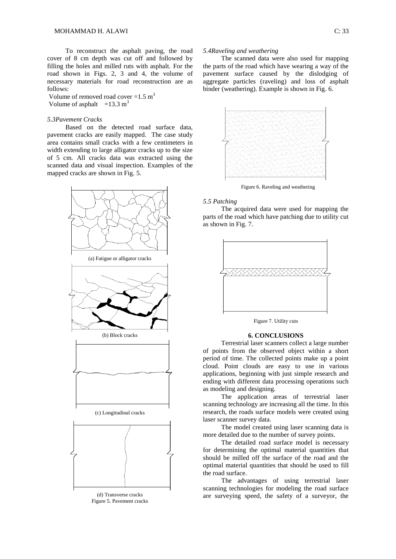To reconstruct the asphalt paving, the road cover of 8 cm depth was cut off and followed by filling the holes and milled ruts with asphalt. For the road shown in Figs. 2, 3 and 4, the volume of necessary materials for road reconstruction are as follows:

Volume of removed road cover =1.5  $m<sup>3</sup>$ Volume of asphalt  $=13.3 \text{ m}^3$ 

# *5.3Pavement Cracks*

Based on the detected road surface data, pavement cracks are easily mapped. The case study area contains small cracks with a few centimeters in width extending to large alligator cracks up to the size of 5 cm. All cracks data was extracted using the scanned data and visual inspection. Examples of the mapped cracks are shown in Fig. 5.



(d) Transverse cracks Figure 5. Pavement cracks

#### *5.4Raveling and weathering*

The scanned data were also used for mapping the parts of the road which have wearing a way of the pavement surface caused by the dislodging of aggregate particles (raveling) and loss of asphalt binder (weathering). Example is shown in Fig. 6.



Figure 6. Raveling and weathering

### *5.5 Patching*

The acquired data were used for mapping the parts of the road which have patching due to utility cut as shown in Fig. 7.



Figure 7. Utility cuts

### **6. CONCLUSIONS**

Terrestrial laser scanners collect a large number of points from the observed object within a short period of time. The collected points make up a point cloud. Point clouds are easy to use in various applications, beginning with just simple research and ending with different data processing operations such as modeling and designing.

The application areas of terrestrial laser scanning technology are increasing all the time. In this research, the roads surface models were created using laser scanner survey data.

The model created using laser scanning data is more detailed due to the number of survey points.

The detailed road surface model is necessary for determining the optimal material quantities that should be milled off the surface of the road and the optimal material quantities that should be used to fill the road surface.

The advantages of using terrestrial laser scanning technologies for modeling the road surface are surveying speed, the safety of a surveyor, the